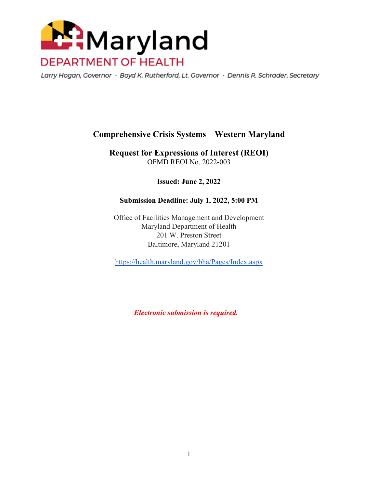

Larry Hogan, Governor · Boyd K. Rutherford, Lt. Governor · Dennis R. Schrader, Secretary

# **Comprehensive Crisis Systems – Western Maryland**

**Request for Expressions of Interest (REOI)**  OFMD REOI No. 2022-003

**Issued: June 2, 2022** 

#### **Submission Deadline: July 1, 2022, 5:00 PM**

Office of Facilities Management and Development Maryland Department of Health 201 W. Preston Street Baltimore, Maryland 21201

https://health.maryland.gov/bha/Pages/Index.aspx

 *Electronic submission is required.*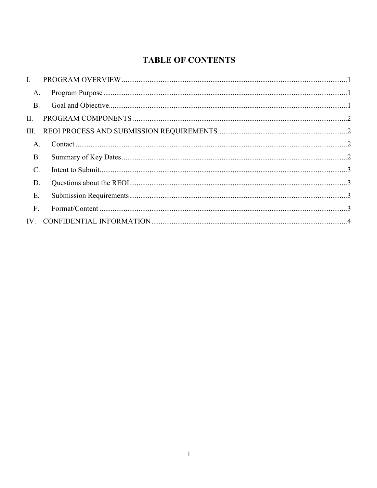# **TABLE OF CONTENTS**

| $\mathbf{L}$   |  |
|----------------|--|
| A.             |  |
| <b>B.</b>      |  |
| II.            |  |
| III.           |  |
| A.             |  |
| В.             |  |
| $\mathbf{C}$ . |  |
| D.             |  |
| Ε.             |  |
| F.             |  |
|                |  |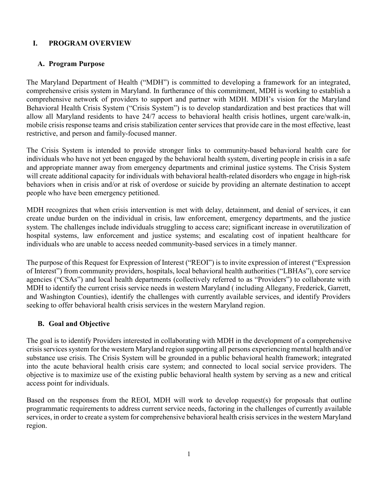## **I. PROGRAM OVERVIEW**

## **A. Program Purpose**

The Maryland Department of Health ("MDH") is committed to developing a framework for an integrated, comprehensive crisis system in Maryland. In furtherance of this commitment, MDH is working to establish a comprehensive network of providers to support and partner with MDH. MDH's vision for the Maryland Behavioral Health Crisis System ("Crisis System") is to develop standardization and best practices that will allow all Maryland residents to have 24/7 access to behavioral health crisis hotlines, urgent care/walk-in, mobile crisis response teams and crisis stabilization center services that provide care in the most effective, least restrictive, and person and family-focused manner.

The Crisis System is intended to provide stronger links to community-based behavioral health care for individuals who have not yet been engaged by the behavioral health system, diverting people in crisis in a safe and appropriate manner away from emergency departments and criminal justice systems. The Crisis System will create additional capacity for individuals with behavioral health-related disorders who engage in high-risk behaviors when in crisis and/or at risk of overdose or suicide by providing an alternate destination to accept people who have been emergency petitioned.

MDH recognizes that when crisis intervention is met with delay, detainment, and denial of services, it can create undue burden on the individual in crisis, law enforcement, emergency departments, and the justice system. The challenges include individuals struggling to access care; significant increase in overutilization of hospital systems, law enforcement and justice systems; and escalating cost of inpatient healthcare for individuals who are unable to access needed community-based services in a timely manner.

The purpose of this Request for Expression of Interest ("REOI") is to invite expression of interest ("Expression of Interest") from community providers, hospitals, local behavioral health authorities ("LBHAs"), core service agencies ("CSAs") and local health departments (collectively referred to as "Providers") to collaborate with MDH to identify the current crisis service needs in western Maryland ( including Allegany, Frederick, Garrett, and Washington Counties), identify the challenges with currently available services, and identify Providers seeking to offer behavioral health crisis services in the western Maryland region.

# **B. Goal and Objective**

The goal is to identify Providers interested in collaborating with MDH in the development of a comprehensive crisis services system for the western Maryland region supporting all persons experiencing mental health and/or substance use crisis. The Crisis System will be grounded in a public behavioral health framework; integrated into the acute behavioral health crisis care system; and connected to local social service providers. The objective is to maximize use of the existing public behavioral health system by serving as a new and critical access point for individuals.

Based on the responses from the REOI, MDH will work to develop request(s) for proposals that outline programmatic requirements to address current service needs, factoring in the challenges of currently available services, in order to create a system for comprehensive behavioral health crisis services in the western Maryland region.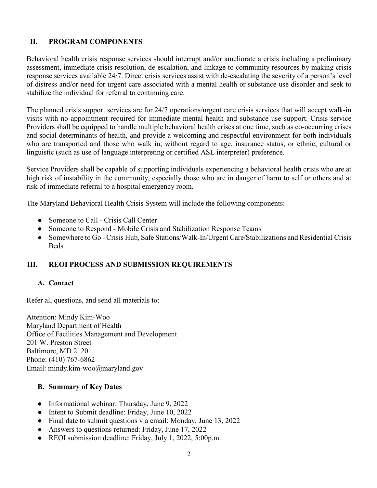# **II. PROGRAM COMPONENTS**

Behavioral health crisis response services should interrupt and/or ameliorate a crisis including a preliminary assessment, immediate crisis resolution, de-escalation, and linkage to community resources by making crisis response services available 24/7. Direct crisis services assist with de-escalating the severity of a person's level of distress and/or need for urgent care associated with a mental health or substance use disorder and seek to stabilize the individual for referral to continuing care.

The planned crisis support services are for 24/7 operations/urgent care crisis services that will accept walk-in visits with no appointment required for immediate mental health and substance use support. Crisis service Providers shall be equipped to handle multiple behavioral health crises at one time, such as co-occurring crises and social determinants of health, and provide a welcoming and respectful environment for both individuals who are transported and those who walk in, without regard to age, insurance status, or ethnic, cultural or linguistic (such as use of language interpreting or certified ASL interpreter) preference.

Service Providers shall be capable of supporting individuals experiencing a behavioral health crisis who are at high risk of instability in the community, especially those who are in danger of harm to self or others and at risk of immediate referral to a hospital emergency room.

The Maryland Behavioral Health Crisis System will include the following components:

- Someone to Call Crisis Call Center
- Someone to Respond Mobile Crisis and Stabilization Response Teams
- Somewhere to Go Crisis Hub, Safe Stations/Walk-In/Urgent Care/Stabilizations and Residential Crisis **Beds**

# **III. REOI PROCESS AND SUBMISSION REQUIREMENTS**

#### **A. Contact**

Refer all questions, and send all materials to:

Attention: Mindy Kim-Woo Maryland Department of Health Office of Facilities Management and Development 201 W. Preston Street Baltimore, MD 21201 Phone: (410) 767-6862 Email: mindy.kim-woo@maryland.gov

#### **B. Summary of Key Dates**

- Informational webinar: Thursday, June 9, 2022
- Intent to Submit deadline: Friday, June 10, 2022
- Final date to submit questions via email: Monday, June 13, 2022
- Answers to questions returned: Friday, June 17, 2022
- REOI submission deadline: Friday, July 1, 2022, 5:00p.m.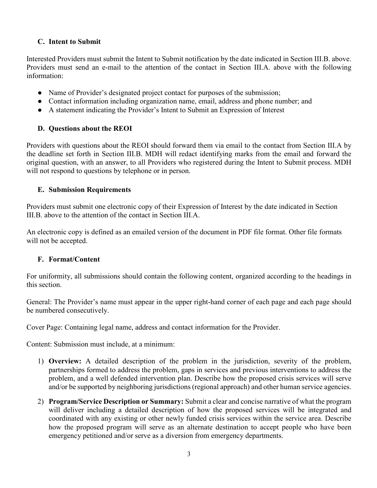## **C. Intent to Submit**

Interested Providers must submit the Intent to Submit notification by the date indicated in Section III.B. above. Providers must send an e-mail to the attention of the contact in Section III.A. above with the following information:

- Name of Provider's designated project contact for purposes of the submission;
- Contact information including organization name, email, address and phone number; and
- A statement indicating the Provider's Intent to Submit an Expression of Interest

## **D. Questions about the REOI**

Providers with questions about the REOI should forward them via email to the contact from Section III.A by the deadline set forth in Section III.B. MDH will redact identifying marks from the email and forward the original question, with an answer, to all Providers who registered during the Intent to Submit process. MDH will not respond to questions by telephone or in person.

## **E. Submission Requirements**

Providers must submit one electronic copy of their Expression of Interest by the date indicated in Section III.B. above to the attention of the contact in Section III.A.

An electronic copy is defined as an emailed version of the document in PDF file format. Other file formats will not be accepted.

# **F. Format/Content**

For uniformity, all submissions should contain the following content, organized according to the headings in this section.

General: The Provider's name must appear in the upper right-hand corner of each page and each page should be numbered consecutively.

Cover Page: Containing legal name, address and contact information for the Provider.

Content: Submission must include, at a minimum:

- 1) **Overview:** A detailed description of the problem in the jurisdiction, severity of the problem, partnerships formed to address the problem, gaps in services and previous interventions to address the problem, and a well defended intervention plan. Describe how the proposed crisis services will serve and/or be supported by neighboring jurisdictions (regional approach) and other human service agencies.
- 2) **Program/Service Description or Summary:** Submit a clear and concise narrative of what the program will deliver including a detailed description of how the proposed services will be integrated and coordinated with any existing or other newly funded crisis services within the service area. Describe how the proposed program will serve as an alternate destination to accept people who have been emergency petitioned and/or serve as a diversion from emergency departments.